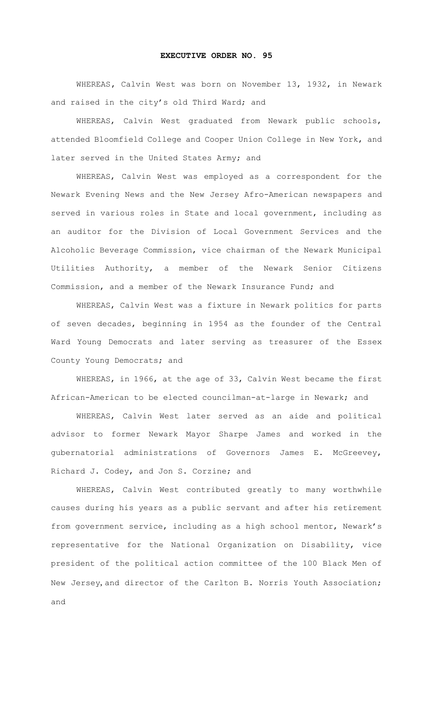## **EXECUTIVE ORDER NO. 95**

WHEREAS**,** Calvin West was born on November 13, 1932, in Newark and raised in the city's old Third Ward; and

WHEREAS, Calvin West graduated from Newark public schools, attended Bloomfield College and Cooper Union College in New York, and later served in the United States Army; and

WHEREAS, Calvin West was employed as a correspondent for the Newark Evening News and the New Jersey Afro-American newspapers and served in various roles in State and local government, including as an auditor for the Division of Local Government Services and the Alcoholic Beverage Commission, vice chairman of the Newark Municipal Utilities Authority, a member of the Newark Senior Citizens Commission, and a member of the Newark Insurance Fund; and

WHEREAS, Calvin West was a fixture in Newark politics for parts of seven decades, beginning in 1954 as the founder of the Central Ward Young Democrats and later serving as treasurer of the Essex County Young Democrats; and

WHEREAS, in 1966, at the age of 33, Calvin West became the first African-American to be elected councilman-at-large in Newark; and

WHEREAS, Calvin West later served as an aide and political advisor to former Newark Mayor Sharpe James and worked in the gubernatorial administrations of Governors James E. McGreevey, Richard J. Codey, and Jon S. Corzine; and

WHEREAS, Calvin West contributed greatly to many worthwhile causes during his years as a public servant and after his retirement from government service, including as a high school mentor, Newark's representative for the National Organization on Disability, vice president of the political action committee of the 100 Black Men of New Jersey, and director of the Carlton B. Norris Youth Association; and